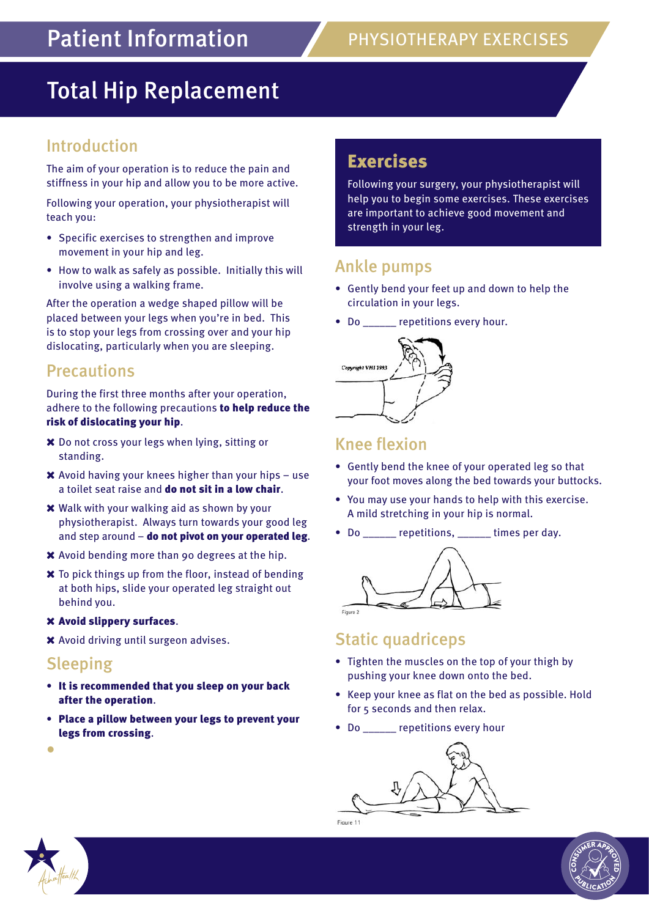# Total Hip Replacement

## Introduction

The aim of your operation is to reduce the pain and stiffness in your hip and allow you to be more active.

Following your operation, your physiotherapist will teach you:

- • Specific exercises to strengthen and improve movement in your hip and leg.
- How to walk as safely as possible. Initially this will involve using a walking frame.

After the operation a wedge shaped pillow will be placed between your legs when you're in bed. This is to stop your legs from crossing over and your hip dislocating, particularly when you are sleeping.

#### **Precautions**

During the first three months after your operation, adhere to the following precautions to help reduce the risk of dislocating your hip.

- Do not cross your legs when lying, sitting or standing.
- $\boldsymbol{\times}$  Avoid having your knees higher than your hips use a toilet seat raise and do not sit in a low chair.
- Walk with your walking aid as shown by your physiotherapist. Always turn towards your good leg and step around  $-$  do not pivot on your operated leg.
- Avoid bending more than 90 degrees at the hip.
- $\boldsymbol{\times}$  To pick things up from the floor, instead of bending at both hips, slide your operated leg straight out behind you.

#### Avoid slippery surfaces.

Avoid driving until surgeon advises.

#### Sleeping

- It is recommended that you sleep on your back after the operation.
- • Place a pillow between your legs to prevent your legs from crossing.

# Exercises

Following your surgery, your physiotherapist will help you to begin some exercises. These exercises are important to achieve good movement and strength in your leg.

### Ankle pumps

- • Gently bend your feet up and down to help the circulation in your legs.
- Do \_\_\_\_\_ repetitions every hour.



#### Knee flexion

- • Gently bend the knee of your operated leg so that your foot moves along the bed towards your buttocks.
- • You may use your hands to help with this exercise. A mild stretching in your hip is normal.
- Do repetitions, times per day.



### Static quadriceps

- Tighten the muscles on the top of your thigh by pushing your knee down onto the bed.
- Keep your knee as flat on the bed as possible. Hold for 5 seconds and then relax.
- Do \_\_\_\_\_\_ repetitions every hour





•